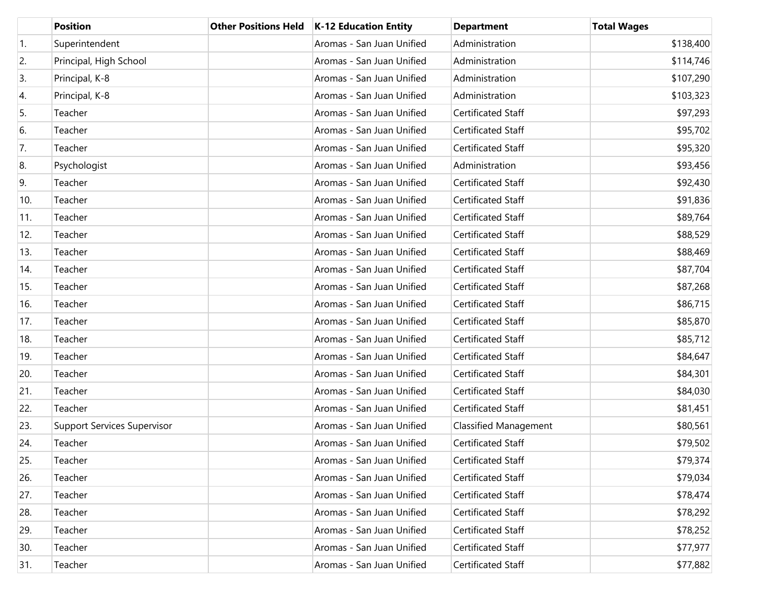|                  | <b>Position</b>                    | <b>Other Positions Held</b> | K-12 Education Entity     | <b>Department</b>            | <b>Total Wages</b> |
|------------------|------------------------------------|-----------------------------|---------------------------|------------------------------|--------------------|
| $\overline{1}$ . | Superintendent                     |                             | Aromas - San Juan Unified | Administration               | \$138,400          |
| 2.               | Principal, High School             |                             | Aromas - San Juan Unified | Administration               | \$114,746          |
| 3.               | Principal, K-8                     |                             | Aromas - San Juan Unified | Administration               | \$107,290          |
| 4.               | Principal, K-8                     |                             | Aromas - San Juan Unified | Administration               | \$103,323          |
| 5.               | Teacher                            |                             | Aromas - San Juan Unified | Certificated Staff           | \$97,293           |
| 6.               | Teacher                            |                             | Aromas - San Juan Unified | Certificated Staff           | \$95,702           |
| 7.               | Teacher                            |                             | Aromas - San Juan Unified | Certificated Staff           | \$95,320           |
| 8.               | Psychologist                       |                             | Aromas - San Juan Unified | Administration               | \$93,456           |
| 9.               | Teacher                            |                             | Aromas - San Juan Unified | Certificated Staff           | \$92,430           |
| 10.              | Teacher                            |                             | Aromas - San Juan Unified | Certificated Staff           | \$91,836           |
| 11.              | Teacher                            |                             | Aromas - San Juan Unified | <b>Certificated Staff</b>    | \$89,764           |
| 12.              | Teacher                            |                             | Aromas - San Juan Unified | Certificated Staff           | \$88,529           |
| 13.              | Teacher                            |                             | Aromas - San Juan Unified | Certificated Staff           | \$88,469           |
| 14.              | Teacher                            |                             | Aromas - San Juan Unified | Certificated Staff           | \$87,704           |
| 15.              | Teacher                            |                             | Aromas - San Juan Unified | Certificated Staff           | \$87,268           |
| 16.              | Teacher                            |                             | Aromas - San Juan Unified | Certificated Staff           | \$86,715           |
| 17.              | Teacher                            |                             | Aromas - San Juan Unified | Certificated Staff           | \$85,870           |
| 18.              | Teacher                            |                             | Aromas - San Juan Unified | Certificated Staff           | \$85,712           |
| 19.              | Teacher                            |                             | Aromas - San Juan Unified | Certificated Staff           | \$84,647           |
| 20.              | Teacher                            |                             | Aromas - San Juan Unified | Certificated Staff           | \$84,301           |
| 21.              | Teacher                            |                             | Aromas - San Juan Unified | Certificated Staff           | \$84,030           |
| 22.              | Teacher                            |                             | Aromas - San Juan Unified | Certificated Staff           | \$81,451           |
| 23.              | <b>Support Services Supervisor</b> |                             | Aromas - San Juan Unified | <b>Classified Management</b> | \$80,561           |
| 24.              | Teacher                            |                             | Aromas - San Juan Unified | Certificated Staff           | \$79,502           |
| 25.              | Teacher                            |                             | Aromas - San Juan Unified | Certificated Staff           | \$79,374           |
| 26.              | Teacher                            |                             | Aromas - San Juan Unified | Certificated Staff           | \$79,034           |
| 27.              | Teacher                            |                             | Aromas - San Juan Unified | Certificated Staff           | \$78,474           |
| 28.              | Teacher                            |                             | Aromas - San Juan Unified | Certificated Staff           | \$78,292           |
| 29.              | Teacher                            |                             | Aromas - San Juan Unified | Certificated Staff           | \$78,252           |
| 30.              | Teacher                            |                             | Aromas - San Juan Unified | Certificated Staff           | \$77,977           |
| 31.              | Teacher                            |                             | Aromas - San Juan Unified | Certificated Staff           | \$77,882           |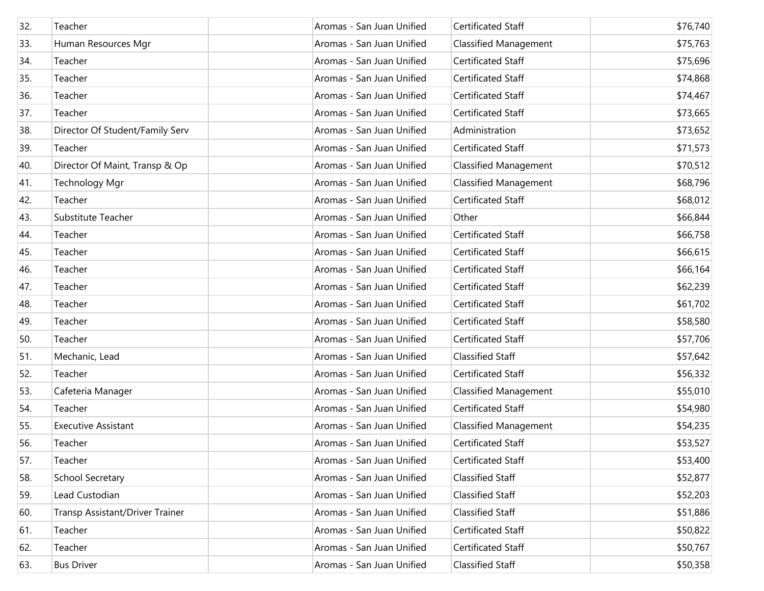| 32. | Teacher                         | Aromas - San Juan Unified | Certificated Staff           | \$76,740 |
|-----|---------------------------------|---------------------------|------------------------------|----------|
| 33. | Human Resources Mgr             | Aromas - San Juan Unified | <b>Classified Management</b> | \$75,763 |
| 34. | Teacher                         | Aromas - San Juan Unified | Certificated Staff           | \$75,696 |
| 35. | Teacher                         | Aromas - San Juan Unified | Certificated Staff           | \$74,868 |
| 36. | Teacher                         | Aromas - San Juan Unified | Certificated Staff           | \$74,467 |
| 37. | Teacher                         | Aromas - San Juan Unified | Certificated Staff           | \$73,665 |
| 38. | Director Of Student/Family Serv | Aromas - San Juan Unified | Administration               | \$73,652 |
| 39. | Teacher                         | Aromas - San Juan Unified | Certificated Staff           | \$71,573 |
| 40. | Director Of Maint, Transp & Op  | Aromas - San Juan Unified | <b>Classified Management</b> | \$70,512 |
| 41. | <b>Technology Mgr</b>           | Aromas - San Juan Unified | <b>Classified Management</b> | \$68,796 |
| 42. | Teacher                         | Aromas - San Juan Unified | Certificated Staff           | \$68,012 |
| 43. | Substitute Teacher              | Aromas - San Juan Unified | Other                        | \$66,844 |
| 44. | Teacher                         | Aromas - San Juan Unified | <b>Certificated Staff</b>    | \$66,758 |
| 45. | Teacher                         | Aromas - San Juan Unified | Certificated Staff           | \$66,615 |
| 46. | Teacher                         | Aromas - San Juan Unified | Certificated Staff           | \$66,164 |
| 47. | Teacher                         | Aromas - San Juan Unified | Certificated Staff           | \$62,239 |
| 48. | Teacher                         | Aromas - San Juan Unified | Certificated Staff           | \$61,702 |
| 49. | Teacher                         | Aromas - San Juan Unified | Certificated Staff           | \$58,580 |
| 50. | Teacher                         | Aromas - San Juan Unified | Certificated Staff           | \$57,706 |
| 51. | Mechanic, Lead                  | Aromas - San Juan Unified | <b>Classified Staff</b>      | \$57,642 |
| 52. | Teacher                         | Aromas - San Juan Unified | Certificated Staff           | \$56,332 |
| 53. | Cafeteria Manager               | Aromas - San Juan Unified | <b>Classified Management</b> | \$55,010 |
| 54. | Teacher                         | Aromas - San Juan Unified | <b>Certificated Staff</b>    | \$54,980 |
| 55. | <b>Executive Assistant</b>      | Aromas - San Juan Unified | <b>Classified Management</b> | \$54,235 |
| 56. | Teacher                         | Aromas - San Juan Unified | Certificated Staff           | \$53,527 |
| 57. | Teacher                         | Aromas - San Juan Unified | Certificated Staff           | \$53,400 |
| 58. | School Secretary                | Aromas - San Juan Unified | Classified Staff             | \$52,877 |
| 59. | Lead Custodian                  | Aromas - San Juan Unified | Classified Staff             | \$52,203 |
| 60. | Transp Assistant/Driver Trainer | Aromas - San Juan Unified | Classified Staff             | \$51,886 |
| 61. | Teacher                         | Aromas - San Juan Unified | Certificated Staff           | \$50,822 |
| 62. | Teacher                         | Aromas - San Juan Unified | Certificated Staff           | \$50,767 |
| 63. | <b>Bus Driver</b>               | Aromas - San Juan Unified | Classified Staff             | \$50,358 |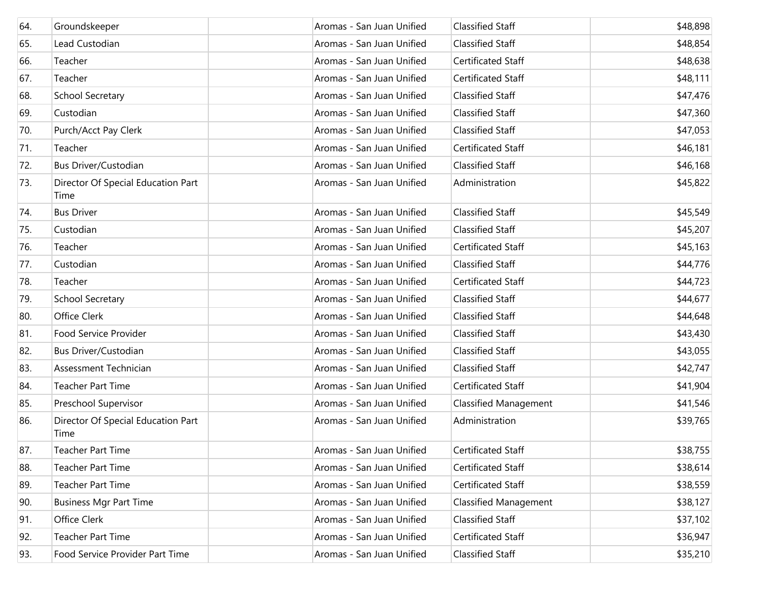| 64. | Groundskeeper                              | Aromas - San Juan Unified | <b>Classified Staff</b>      | \$48,898 |
|-----|--------------------------------------------|---------------------------|------------------------------|----------|
| 65. | Lead Custodian                             | Aromas - San Juan Unified | <b>Classified Staff</b>      | \$48,854 |
| 66. | Teacher                                    | Aromas - San Juan Unified | Certificated Staff           | \$48,638 |
| 67. | Teacher                                    | Aromas - San Juan Unified | Certificated Staff           | \$48,111 |
| 68. | School Secretary                           | Aromas - San Juan Unified | <b>Classified Staff</b>      | \$47,476 |
| 69. | Custodian                                  | Aromas - San Juan Unified | <b>Classified Staff</b>      | \$47,360 |
| 70. | Purch/Acct Pay Clerk                       | Aromas - San Juan Unified | <b>Classified Staff</b>      | \$47,053 |
| 71. | Teacher                                    | Aromas - San Juan Unified | Certificated Staff           | \$46,181 |
| 72. | <b>Bus Driver/Custodian</b>                | Aromas - San Juan Unified | <b>Classified Staff</b>      | \$46,168 |
| 73. | Director Of Special Education Part<br>Time | Aromas - San Juan Unified | Administration               | \$45,822 |
| 74. | <b>Bus Driver</b>                          | Aromas - San Juan Unified | <b>Classified Staff</b>      | \$45,549 |
| 75. | Custodian                                  | Aromas - San Juan Unified | <b>Classified Staff</b>      | \$45,207 |
| 76. | Teacher                                    | Aromas - San Juan Unified | Certificated Staff           | \$45,163 |
| 77. | Custodian                                  | Aromas - San Juan Unified | <b>Classified Staff</b>      | \$44,776 |
| 78. | Teacher                                    | Aromas - San Juan Unified | Certificated Staff           | \$44,723 |
| 79. | School Secretary                           | Aromas - San Juan Unified | <b>Classified Staff</b>      | \$44,677 |
| 80. | Office Clerk                               | Aromas - San Juan Unified | <b>Classified Staff</b>      | \$44,648 |
| 81. | Food Service Provider                      | Aromas - San Juan Unified | <b>Classified Staff</b>      | \$43,430 |
| 82. | Bus Driver/Custodian                       | Aromas - San Juan Unified | <b>Classified Staff</b>      | \$43,055 |
| 83. | Assessment Technician                      | Aromas - San Juan Unified | Classified Staff             | \$42,747 |
| 84. | <b>Teacher Part Time</b>                   | Aromas - San Juan Unified | Certificated Staff           | \$41,904 |
| 85. | Preschool Supervisor                       | Aromas - San Juan Unified | <b>Classified Management</b> | \$41,546 |
| 86. | Director Of Special Education Part<br>Time | Aromas - San Juan Unified | Administration               | \$39,765 |
| 87. | Teacher Part Time                          | Aromas - San Juan Unified | Certificated Staff           | \$38,755 |
| 88. | <b>Teacher Part Time</b>                   | Aromas - San Juan Unified | Certificated Staff           | \$38,614 |
| 89. | <b>Teacher Part Time</b>                   | Aromas - San Juan Unified | Certificated Staff           | \$38,559 |
| 90. | <b>Business Mgr Part Time</b>              | Aromas - San Juan Unified | <b>Classified Management</b> | \$38,127 |
| 91. | Office Clerk                               | Aromas - San Juan Unified | Classified Staff             | \$37,102 |
| 92. | <b>Teacher Part Time</b>                   | Aromas - San Juan Unified | Certificated Staff           | \$36,947 |
| 93. | Food Service Provider Part Time            | Aromas - San Juan Unified | Classified Staff             | \$35,210 |